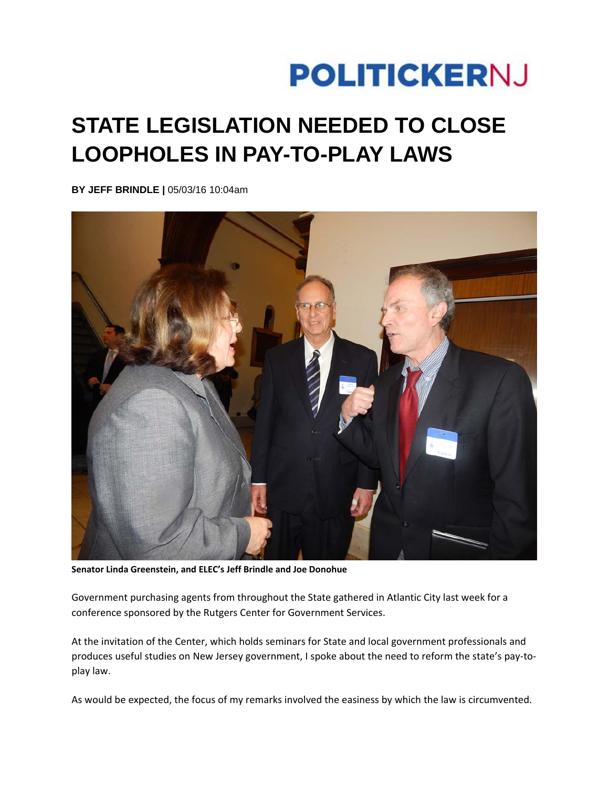## **POLITICKERNJ**

## **STATE LEGISLATION NEEDED TO CLOSE LOOPHOLES IN PAY-TO-PLAY LAWS**

**BY JEFF BRINDLE |** 05/03/16 10:04am



**Senator Linda Greenstein, and ELEC's Jeff Brindle and Joe Donohue**

Government purchasing agents from throughout the State gathered in Atlantic City last week for a conference sponsored by the Rutgers Center for Government Services.

At the invitation of the Center, which holds seminars for State and local government professionals and produces useful studies on New Jersey government, I spoke about the need to reform the state's pay-toplay law.

As would be expected, the focus of my remarks involved the easiness by which the law is circumvented.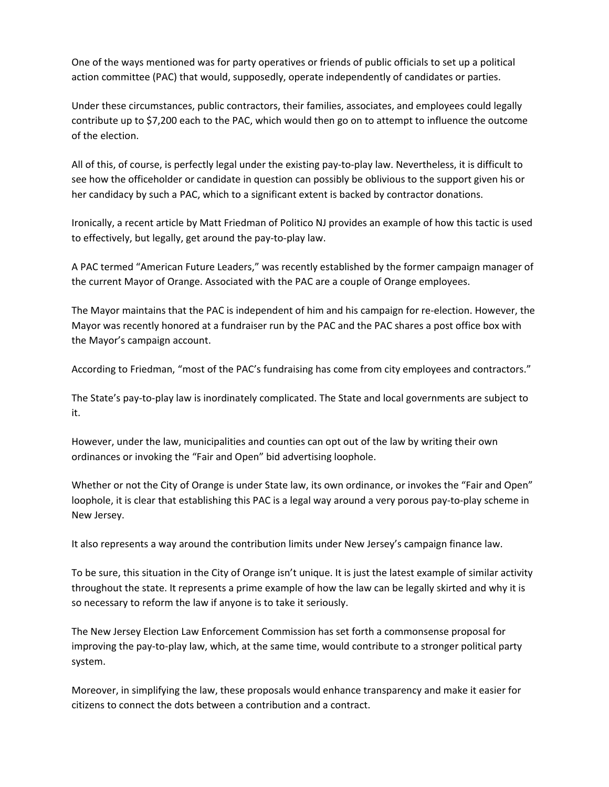One of the ways mentioned was for party operatives or friends of public officials to set up a political action committee (PAC) that would, supposedly, operate independently of candidates or parties.

Under these circumstances, public contractors, their families, associates, and employees could legally contribute up to \$7,200 each to the PAC, which would then go on to attempt to influence the outcome of the election.

All of this, of course, is perfectly legal under the existing pay‐to‐play law. Nevertheless, it is difficult to see how the officeholder or candidate in question can possibly be oblivious to the support given his or her candidacy by such a PAC, which to a significant extent is backed by contractor donations.

Ironically, a recent article by Matt Friedman of Politico NJ provides an example of how this tactic is used to effectively, but legally, get around the pay‐to‐play law.

A PAC termed "American Future Leaders," was recently established by the former campaign manager of the current Mayor of Orange. Associated with the PAC are a couple of Orange employees.

The Mayor maintains that the PAC is independent of him and his campaign for re‐election. However, the Mayor was recently honored at a fundraiser run by the PAC and the PAC shares a post office box with the Mayor's campaign account.

According to Friedman, "most of the PAC's fundraising has come from city employees and contractors."

The State's pay‐to‐play law is inordinately complicated. The State and local governments are subject to it.

However, under the law, municipalities and counties can opt out of the law by writing their own ordinances or invoking the "Fair and Open" bid advertising loophole.

Whether or not the City of Orange is under State law, its own ordinance, or invokes the "Fair and Open" loophole, it is clear that establishing this PAC is a legal way around a very porous pay‐to‐play scheme in New Jersey.

It also represents a way around the contribution limits under New Jersey's campaign finance law.

To be sure, this situation in the City of Orange isn't unique. It is just the latest example of similar activity throughout the state. It represents a prime example of how the law can be legally skirted and why it is so necessary to reform the law if anyone is to take it seriously.

The New Jersey Election Law Enforcement Commission has set forth a commonsense proposal for improving the pay‐to‐play law, which, at the same time, would contribute to a stronger political party system.

Moreover, in simplifying the law, these proposals would enhance transparency and make it easier for citizens to connect the dots between a contribution and a contract.